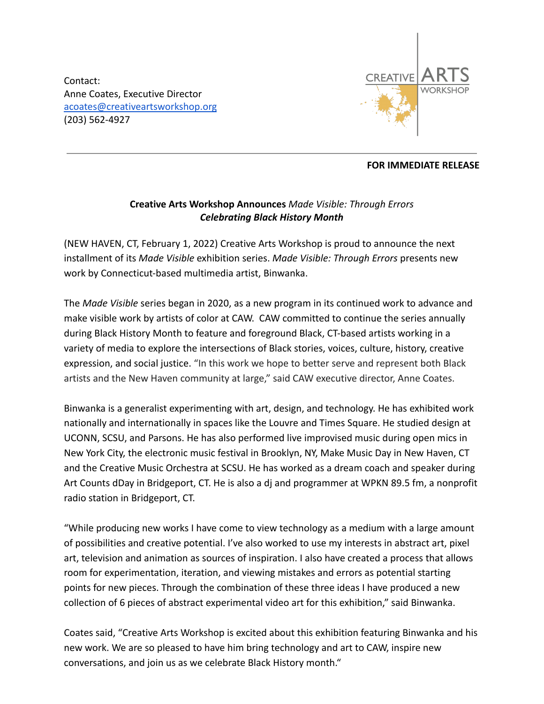Contact: Anne Coates, Executive Director [acoates@creativeartsworkshop.org](mailto:acoates@creativeartsworkshop.org) (203) 562-4927



## **FOR IMMEDIATE RELEASE**

## **Creative Arts Workshop Announces** *Made Visible: Through Errors Celebrating Black History Month*

(NEW HAVEN, CT, February 1, 2022) Creative Arts Workshop is proud to announce the next installment of its *Made Visible* exhibition series. *Made Visible: Through Errors* presents new work by Connecticut-based multimedia artist, Binwanka.

The *Made Visible* series began in 2020, as a new program in its continued work to advance and make visible work by artists of color at CAW. CAW committed to continue the series annually during Black History Month to feature and foreground Black, CT-based artists working in a variety of media to explore the intersections of Black stories, voices, culture, history, creative expression, and social justice. "In this work we hope to better serve and represent both Black artists and the New Haven community at large," said CAW executive director, Anne Coates.

Binwanka is a generalist experimenting with art, design, and technology. He has exhibited work nationally and internationally in spaces like the Louvre and Times Square. He studied design at UCONN, SCSU, and Parsons. He has also performed live improvised music during open mics in New York City, the electronic music festival in Brooklyn, NY, Make Music Day in New Haven, CT and the Creative Music Orchestra at SCSU. He has worked as a dream coach and speaker during Art Counts dDay in Bridgeport, CT. He is also a dj and programmer at WPKN 89.5 fm, a nonprofit radio station in Bridgeport, CT.

"While producing new works I have come to view technology as a medium with a large amount of possibilities and creative potential. I've also worked to use my interests in abstract art, pixel art, television and animation as sources of inspiration. I also have created a process that allows room for experimentation, iteration, and viewing mistakes and errors as potential starting points for new pieces. Through the combination of these three ideas I have produced a new collection of 6 pieces of abstract experimental video art for this exhibition," said Binwanka.

Coates said, "Creative Arts Workshop is excited about this exhibition featuring Binwanka and his new work. We are so pleased to have him bring technology and art to CAW, inspire new conversations, and join us as we celebrate Black History month."